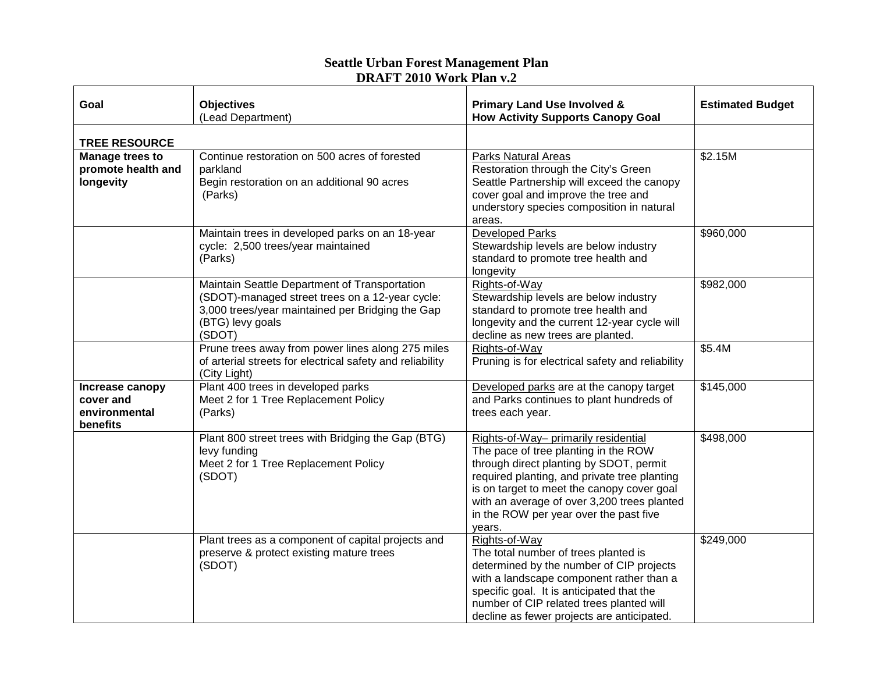## **Seattle Urban Forest Management Plan DRAFT 2010 Work Plan v.2**

| Goal                                                      | <b>Objectives</b><br>(Lead Department)                                                                                                                                             | <b>Primary Land Use Involved &amp;</b><br><b>How Activity Supports Canopy Goal</b>                                                                                                                                                                                                                                       | <b>Estimated Budget</b> |  |  |
|-----------------------------------------------------------|------------------------------------------------------------------------------------------------------------------------------------------------------------------------------------|--------------------------------------------------------------------------------------------------------------------------------------------------------------------------------------------------------------------------------------------------------------------------------------------------------------------------|-------------------------|--|--|
| <b>TREE RESOURCE</b>                                      |                                                                                                                                                                                    |                                                                                                                                                                                                                                                                                                                          |                         |  |  |
| <b>Manage trees to</b><br>promote health and<br>longevity | Continue restoration on 500 acres of forested<br>parkland<br>Begin restoration on an additional 90 acres<br>(Parks)                                                                | <b>Parks Natural Areas</b><br>Restoration through the City's Green<br>Seattle Partnership will exceed the canopy<br>cover goal and improve the tree and<br>understory species composition in natural<br>areas.                                                                                                           | \$2.15M                 |  |  |
|                                                           | Maintain trees in developed parks on an 18-year<br>cycle: 2,500 trees/year maintained<br>(Parks)                                                                                   | <b>Developed Parks</b><br>Stewardship levels are below industry<br>standard to promote tree health and<br>longevity                                                                                                                                                                                                      | \$960,000               |  |  |
|                                                           | Maintain Seattle Department of Transportation<br>(SDOT)-managed street trees on a 12-year cycle:<br>3,000 trees/year maintained per Bridging the Gap<br>(BTG) levy goals<br>(SDOT) | Rights-of-Way<br>Stewardship levels are below industry<br>standard to promote tree health and<br>longevity and the current 12-year cycle will<br>decline as new trees are planted.                                                                                                                                       | \$982,000               |  |  |
|                                                           | Prune trees away from power lines along 275 miles<br>of arterial streets for electrical safety and reliability<br>(City Light)                                                     | Rights-of-Way<br>Pruning is for electrical safety and reliability                                                                                                                                                                                                                                                        | \$5.4M                  |  |  |
| Increase canopy<br>cover and<br>environmental<br>benefits | Plant 400 trees in developed parks<br>Meet 2 for 1 Tree Replacement Policy<br>(Parks)                                                                                              | Developed parks are at the canopy target<br>and Parks continues to plant hundreds of<br>trees each year.                                                                                                                                                                                                                 | \$145,000               |  |  |
|                                                           | Plant 800 street trees with Bridging the Gap (BTG)<br>levy funding<br>Meet 2 for 1 Tree Replacement Policy<br>(SDOT)                                                               | Rights-of-Way- primarily residential<br>The pace of tree planting in the ROW<br>through direct planting by SDOT, permit<br>required planting, and private tree planting<br>is on target to meet the canopy cover goal<br>with an average of over 3,200 trees planted<br>in the ROW per year over the past five<br>years. | \$498,000               |  |  |
|                                                           | Plant trees as a component of capital projects and<br>preserve & protect existing mature trees<br>(SDOT)                                                                           | Rights-of-Way<br>The total number of trees planted is<br>determined by the number of CIP projects<br>with a landscape component rather than a<br>specific goal. It is anticipated that the<br>number of CIP related trees planted will<br>decline as fewer projects are anticipated.                                     | \$249,000               |  |  |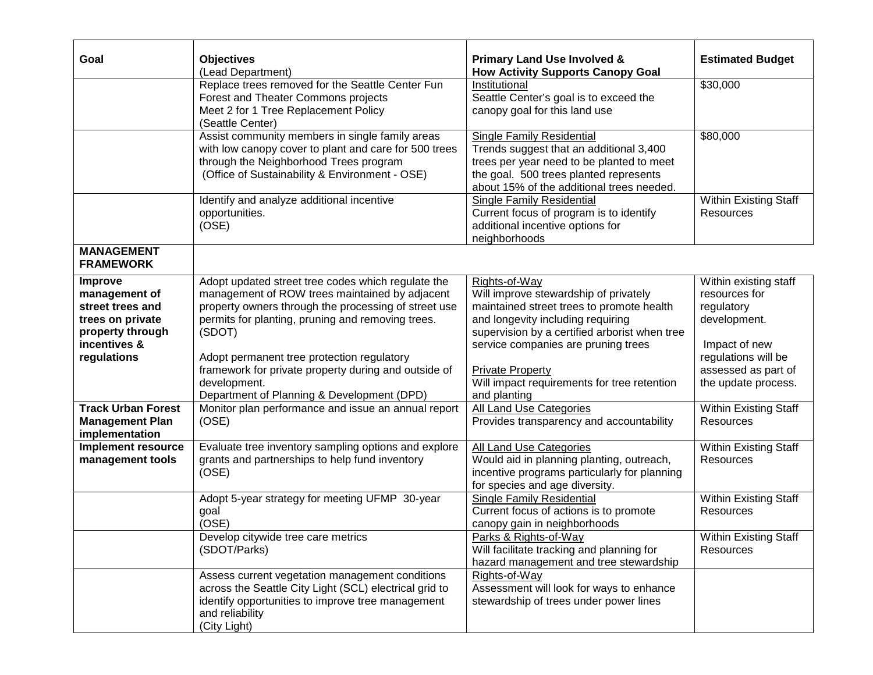| Goal                                                                                                                                             | <b>Objectives</b><br>(Lead Department)                                                                                                                                                                                                                                                                                                                                                                                                                 | <b>Primary Land Use Involved &amp;</b><br><b>How Activity Supports Canopy Goal</b>                                                                                                                                                                                                                                                                    | <b>Estimated Budget</b>                                                                                                                                                             |
|--------------------------------------------------------------------------------------------------------------------------------------------------|--------------------------------------------------------------------------------------------------------------------------------------------------------------------------------------------------------------------------------------------------------------------------------------------------------------------------------------------------------------------------------------------------------------------------------------------------------|-------------------------------------------------------------------------------------------------------------------------------------------------------------------------------------------------------------------------------------------------------------------------------------------------------------------------------------------------------|-------------------------------------------------------------------------------------------------------------------------------------------------------------------------------------|
|                                                                                                                                                  | Replace trees removed for the Seattle Center Fun<br>Forest and Theater Commons projects<br>Meet 2 for 1 Tree Replacement Policy<br>(Seattle Center)                                                                                                                                                                                                                                                                                                    | Institutional<br>Seattle Center's goal is to exceed the<br>canopy goal for this land use                                                                                                                                                                                                                                                              | \$30,000                                                                                                                                                                            |
|                                                                                                                                                  | Assist community members in single family areas<br>with low canopy cover to plant and care for 500 trees<br>through the Neighborhood Trees program<br>(Office of Sustainability & Environment - OSE)                                                                                                                                                                                                                                                   | <b>Single Family Residential</b><br>Trends suggest that an additional 3,400<br>trees per year need to be planted to meet<br>the goal. 500 trees planted represents<br>about 15% of the additional trees needed.                                                                                                                                       | \$80,000                                                                                                                                                                            |
|                                                                                                                                                  | Identify and analyze additional incentive<br>opportunities.<br>(OSE)                                                                                                                                                                                                                                                                                                                                                                                   | <b>Single Family Residential</b><br>Current focus of program is to identify<br>additional incentive options for<br>neighborhoods                                                                                                                                                                                                                      | Within Existing Staff<br><b>Resources</b>                                                                                                                                           |
| <b>MANAGEMENT</b><br><b>FRAMEWORK</b>                                                                                                            |                                                                                                                                                                                                                                                                                                                                                                                                                                                        |                                                                                                                                                                                                                                                                                                                                                       |                                                                                                                                                                                     |
| Improve<br>management of<br>street trees and<br>trees on private<br>property through<br>incentives &<br>regulations<br><b>Track Urban Forest</b> | Adopt updated street tree codes which regulate the<br>management of ROW trees maintained by adjacent<br>property owners through the processing of street use<br>permits for planting, pruning and removing trees.<br>(SDOT)<br>Adopt permanent tree protection regulatory<br>framework for private property during and outside of<br>development.<br>Department of Planning & Development (DPD)<br>Monitor plan performance and issue an annual report | Rights-of-Way<br>Will improve stewardship of privately<br>maintained street trees to promote health<br>and longevity including requiring<br>supervision by a certified arborist when tree<br>service companies are pruning trees<br><b>Private Property</b><br>Will impact requirements for tree retention<br>and planting<br>All Land Use Categories | Within existing staff<br>resources for<br>regulatory<br>development.<br>Impact of new<br>regulations will be<br>assessed as part of<br>the update process.<br>Within Existing Staff |
| <b>Management Plan</b><br>implementation                                                                                                         | (OSE)                                                                                                                                                                                                                                                                                                                                                                                                                                                  | Provides transparency and accountability                                                                                                                                                                                                                                                                                                              | Resources                                                                                                                                                                           |
| <b>Implement resource</b><br>management tools                                                                                                    | Evaluate tree inventory sampling options and explore<br>grants and partnerships to help fund inventory<br>(OSE)                                                                                                                                                                                                                                                                                                                                        | <b>All Land Use Categories</b><br>Would aid in planning planting, outreach,<br>incentive programs particularly for planning<br>for species and age diversity.                                                                                                                                                                                         | <b>Within Existing Staff</b><br>Resources                                                                                                                                           |
|                                                                                                                                                  | Adopt 5-year strategy for meeting UFMP 30-year<br>goal<br>(OSE)                                                                                                                                                                                                                                                                                                                                                                                        | <b>Single Family Residential</b><br>Current focus of actions is to promote<br>canopy gain in neighborhoods                                                                                                                                                                                                                                            | <b>Within Existing Staff</b><br><b>Resources</b>                                                                                                                                    |
|                                                                                                                                                  | Develop citywide tree care metrics<br>(SDOT/Parks)                                                                                                                                                                                                                                                                                                                                                                                                     | Parks & Rights-of-Way<br>Will facilitate tracking and planning for<br>hazard management and tree stewardship                                                                                                                                                                                                                                          | <b>Within Existing Staff</b><br>Resources                                                                                                                                           |
|                                                                                                                                                  | Assess current vegetation management conditions<br>across the Seattle City Light (SCL) electrical grid to<br>identify opportunities to improve tree management<br>and reliability<br>(City Light)                                                                                                                                                                                                                                                      | Rights-of-Way<br>Assessment will look for ways to enhance<br>stewardship of trees under power lines                                                                                                                                                                                                                                                   |                                                                                                                                                                                     |